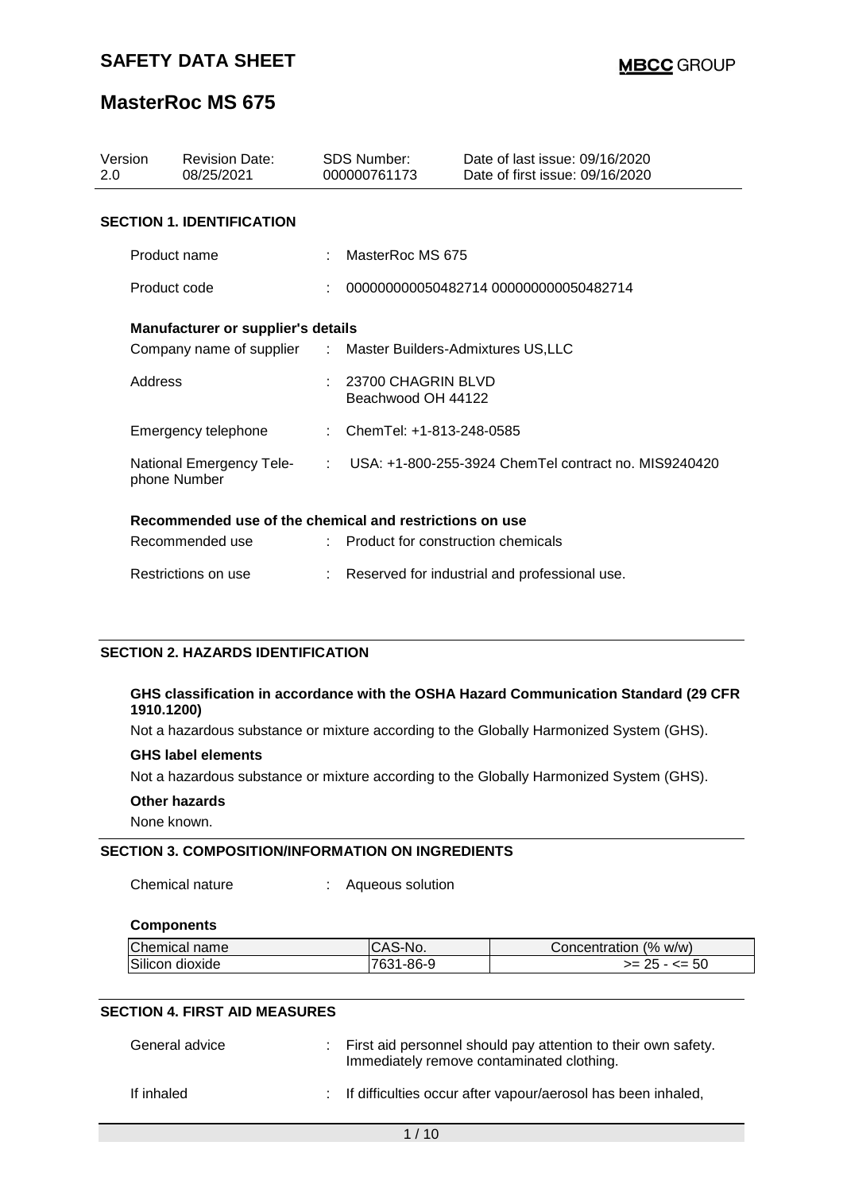| Version<br>2.0 |              | <b>Revision Date:</b><br>08/25/2021                           | <b>SDS Number:</b><br>000000761173             | Date of last issue: 09/16/2020<br>Date of first issue: 09/16/2020 |
|----------------|--------------|---------------------------------------------------------------|------------------------------------------------|-------------------------------------------------------------------|
|                |              | <b>SECTION 1. IDENTIFICATION</b>                              |                                                |                                                                   |
|                | Product name |                                                               | : MasterRoc MS 675                             |                                                                   |
|                | Product code |                                                               |                                                | 000000000050482714 000000000050482714                             |
|                |              | <b>Manufacturer or supplier's details</b>                     |                                                |                                                                   |
|                |              | Company name of supplier : Master Builders-Admixtures US, LLC |                                                |                                                                   |
|                | Address      |                                                               | $\pm 23700$ CHAGRIN BLVD<br>Beachwood OH 44122 |                                                                   |
|                |              | Emergency telephone                                           | : ChemTel: $+1-813-248-0585$                   |                                                                   |
|                |              | National Emergency Tele-<br>phone Number                      |                                                | : USA: +1-800-255-3924 ChemTel contract no. MIS9240420            |
|                |              | Recommended use of the chemical and restrictions on use       |                                                |                                                                   |
|                |              | Recommended use                                               | : Product for construction chemicals           |                                                                   |
|                |              | Restrictions on use                                           |                                                | Reserved for industrial and professional use.                     |

### **SECTION 2. HAZARDS IDENTIFICATION**

### **GHS classification in accordance with the OSHA Hazard Communication Standard (29 CFR 1910.1200)**

Not a hazardous substance or mixture according to the Globally Harmonized System (GHS).

### **GHS label elements**

Not a hazardous substance or mixture according to the Globally Harmonized System (GHS).

#### **Other hazards**

None known.

### **SECTION 3. COMPOSITION/INFORMATION ON INGREDIENTS**

Chemical nature : Aqueous solution

#### **Components**

| Chemical name   | S-No.<br>ت−AS         | Concentration (% w/w) |
|-----------------|-----------------------|-----------------------|
| Silicon dioxide | $1 - 86 - 9$<br>7631- | $>= 25 - 50$          |

### **SECTION 4. FIRST AID MEASURES**

| General advice | First aid personnel should pay attention to their own safety.<br>Immediately remove contaminated clothing. |
|----------------|------------------------------------------------------------------------------------------------------------|
| If inhaled     | : If difficulties occur after vapour/aerosol has been inhaled,                                             |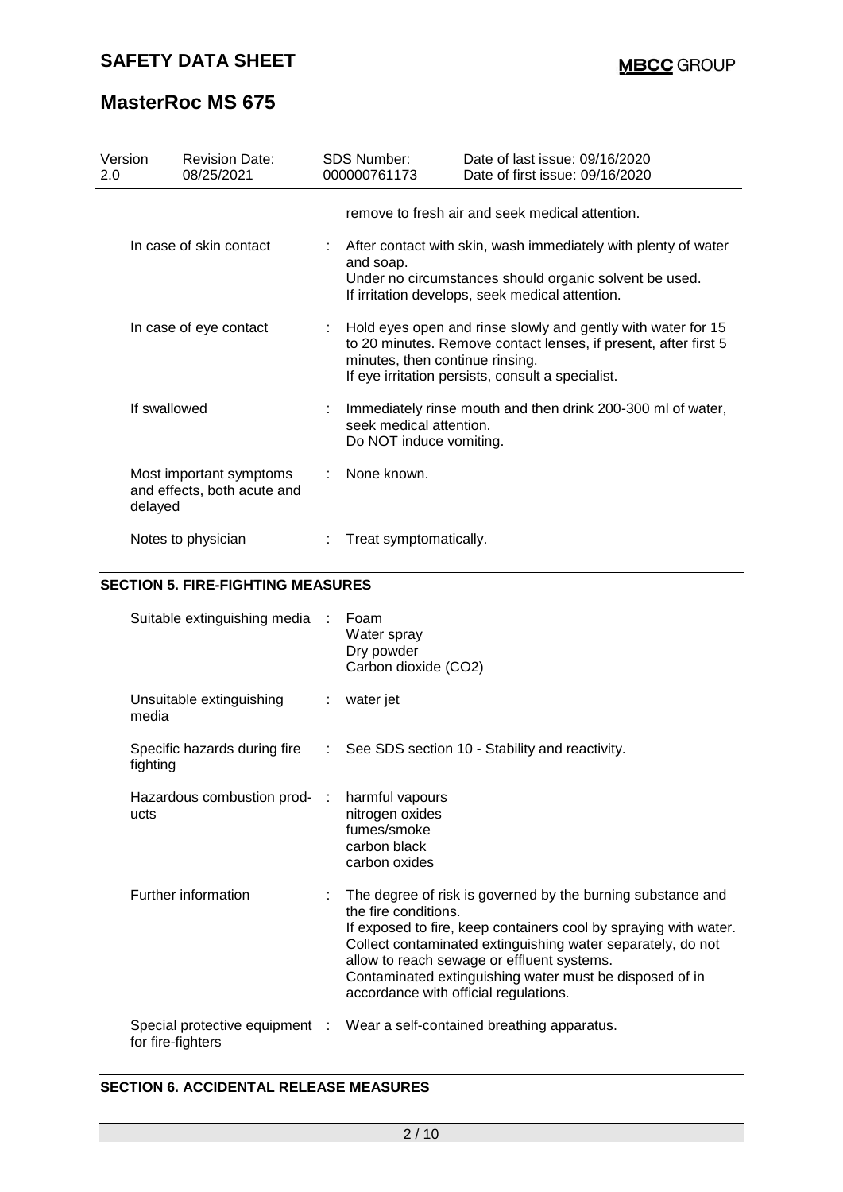# **SAFETY DATA SHEET**

# **MasterRoc MS 675**

| Version<br>2.0 | <b>Revision Date:</b><br>08/25/2021                    |    | SDS Number:<br>000000761173                        | Date of last issue: 09/16/2020<br>Date of first issue: 09/16/2020                                                                                                                      |
|----------------|--------------------------------------------------------|----|----------------------------------------------------|----------------------------------------------------------------------------------------------------------------------------------------------------------------------------------------|
|                |                                                        |    |                                                    | remove to fresh air and seek medical attention.                                                                                                                                        |
|                | In case of skin contact                                | t. | and soap.                                          | After contact with skin, wash immediately with plenty of water<br>Under no circumstances should organic solvent be used.<br>If irritation develops, seek medical attention.            |
|                | In case of eye contact                                 |    | minutes, then continue rinsing.                    | : Hold eyes open and rinse slowly and gently with water for 15<br>to 20 minutes. Remove contact lenses, if present, after first 5<br>If eye irritation persists, consult a specialist. |
| If swallowed   |                                                        |    | seek medical attention.<br>Do NOT induce vomiting. | : Immediately rinse mouth and then drink 200-300 ml of water,                                                                                                                          |
| delayed        | Most important symptoms<br>and effects, both acute and |    | None known.                                        |                                                                                                                                                                                        |
|                | Notes to physician                                     |    | Treat symptomatically.                             |                                                                                                                                                                                        |

### **SECTION 5. FIRE-FIGHTING MEASURES**

| Suitable extinguishing media :       | Foam<br>Water spray<br>Dry powder<br>Carbon dioxide (CO2)                                                                                                                                                                                                                                                                                                                |
|--------------------------------------|--------------------------------------------------------------------------------------------------------------------------------------------------------------------------------------------------------------------------------------------------------------------------------------------------------------------------------------------------------------------------|
| Unsuitable extinguishing<br>media    | : water jet                                                                                                                                                                                                                                                                                                                                                              |
| fighting                             | Specific hazards during fire : See SDS section 10 - Stability and reactivity.                                                                                                                                                                                                                                                                                            |
| Hazardous combustion prod- :<br>ucts | harmful vapours<br>nitrogen oxides<br>fumes/smoke<br>carbon black<br>carbon oxides                                                                                                                                                                                                                                                                                       |
| Further information                  | The degree of risk is governed by the burning substance and<br>the fire conditions.<br>If exposed to fire, keep containers cool by spraying with water.<br>Collect contaminated extinguishing water separately, do not<br>allow to reach sewage or effluent systems.<br>Contaminated extinguishing water must be disposed of in<br>accordance with official regulations. |
| for fire-fighters                    | Special protective equipment : Wear a self-contained breathing apparatus.                                                                                                                                                                                                                                                                                                |

## **SECTION 6. ACCIDENTAL RELEASE MEASURES**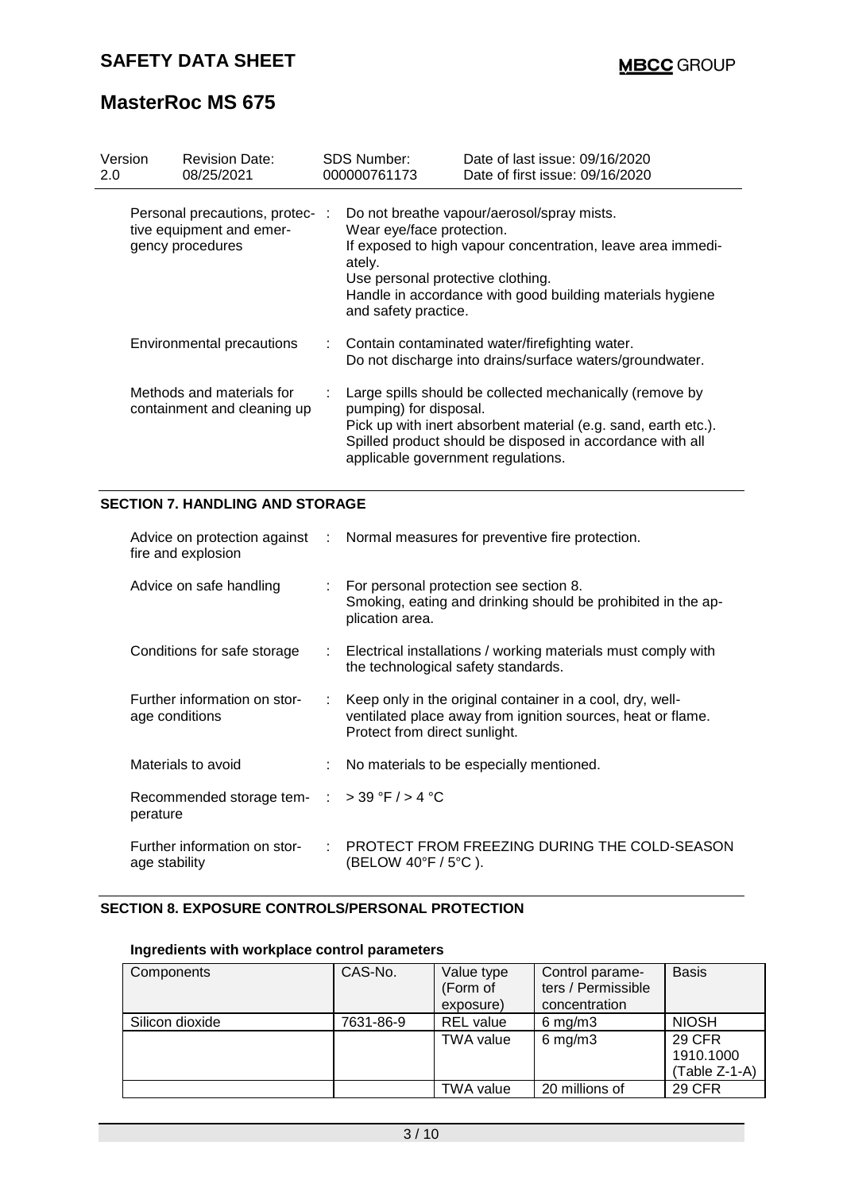| Version<br>2.0 | <b>Revision Date:</b><br>08/25/2021                                             | <b>SDS Number:</b><br>000000761173                                                               | Date of last issue: 09/16/2020<br>Date of first issue: 09/16/2020                                                                                                                       |
|----------------|---------------------------------------------------------------------------------|--------------------------------------------------------------------------------------------------|-----------------------------------------------------------------------------------------------------------------------------------------------------------------------------------------|
|                | Personal precautions, protec- :<br>tive equipment and emer-<br>gency procedures | Wear eye/face protection.<br>ately.<br>Use personal protective clothing.<br>and safety practice. | Do not breathe vapour/aerosol/spray mists.<br>If exposed to high vapour concentration, leave area immedi-<br>Handle in accordance with good building materials hygiene                  |
|                | Environmental precautions                                                       |                                                                                                  | : Contain contaminated water/firefighting water.<br>Do not discharge into drains/surface waters/groundwater.                                                                            |
|                | Methods and materials for<br>containment and cleaning up                        | pumping) for disposal.<br>applicable government regulations.                                     | Large spills should be collected mechanically (remove by<br>Pick up with inert absorbent material (e.g. sand, earth etc.).<br>Spilled product should be disposed in accordance with all |

## **SECTION 7. HANDLING AND STORAGE**

| fire and explosion                                        | Advice on protection against : Normal measures for preventive fire protection.                                                                              |
|-----------------------------------------------------------|-------------------------------------------------------------------------------------------------------------------------------------------------------------|
| Advice on safe handling                                   | $\therefore$ For personal protection see section 8.<br>Smoking, eating and drinking should be prohibited in the ap-<br>plication area.                      |
| Conditions for safe storage                               | : Electrical installations / working materials must comply with<br>the technological safety standards.                                                      |
| Further information on stor-<br>age conditions            | : Keep only in the original container in a cool, dry, well-<br>ventilated place away from ignition sources, heat or flame.<br>Protect from direct sunlight. |
| Materials to avoid                                        | : No materials to be especially mentioned.                                                                                                                  |
| Recommended storage tem- $:$ > 39 °F / > 4 °C<br>perature |                                                                                                                                                             |
| Further information on stor-<br>age stability             | : PROTECT FROM FREEZING DURING THE COLD-SEASON<br>(BELOW 40°F / 5°C ).                                                                                      |

## **SECTION 8. EXPOSURE CONTROLS/PERSONAL PROTECTION**

| Components      | CAS-No.   | Value type       | Control parame-    | <b>Basis</b>  |
|-----------------|-----------|------------------|--------------------|---------------|
|                 |           | (Form of         | ters / Permissible |               |
|                 |           | exposure)        | concentration      |               |
| Silicon dioxide | 7631-86-9 | <b>REL</b> value | $6$ mg/m $3$       | <b>NIOSH</b>  |
|                 |           | <b>TWA value</b> | $6$ mg/m $3$       | 29 CFR        |
|                 |           |                  |                    | 1910.1000     |
|                 |           |                  |                    | (Table Z-1-A) |
|                 |           | <b>TWA value</b> | 20 millions of     | <b>29 CFR</b> |

## **Ingredients with workplace control parameters**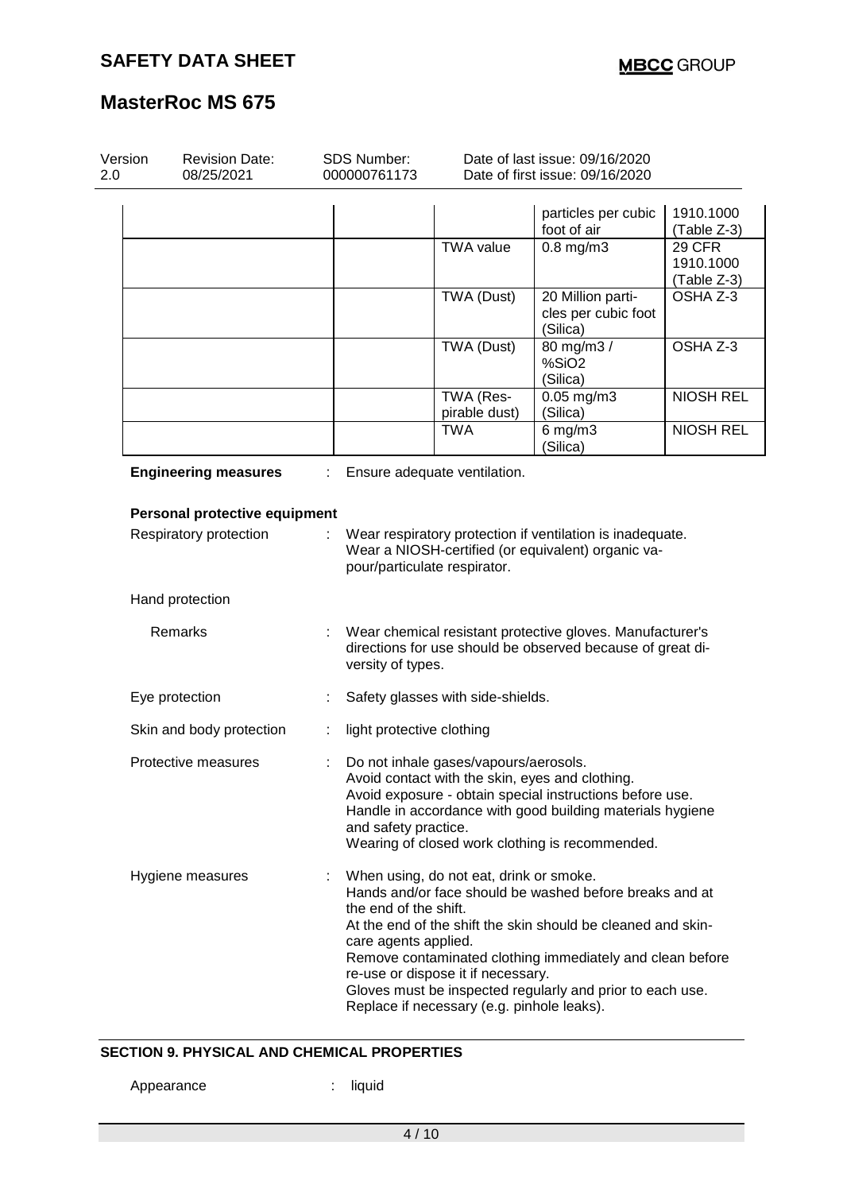| Version<br>2.0 | <b>Revision Date:</b><br>08/25/2021 | SDS Number:<br>000000761173                   |                                                                                                                             | Date of last issue: 09/16/2020<br>Date of first issue: 09/16/2020                                                                                                                                                                                 |                                    |
|----------------|-------------------------------------|-----------------------------------------------|-----------------------------------------------------------------------------------------------------------------------------|---------------------------------------------------------------------------------------------------------------------------------------------------------------------------------------------------------------------------------------------------|------------------------------------|
|                |                                     |                                               |                                                                                                                             | particles per cubic<br>foot of air                                                                                                                                                                                                                | 1910.1000<br>(Table Z-3)           |
|                |                                     |                                               | <b>TWA value</b>                                                                                                            | $0.8$ mg/m $3$                                                                                                                                                                                                                                    | 29 CFR<br>1910.1000<br>(Table Z-3) |
|                |                                     |                                               | TWA (Dust)                                                                                                                  | 20 Million parti-<br>cles per cubic foot<br>(Silica)                                                                                                                                                                                              | OSHA Z-3                           |
|                |                                     |                                               | TWA (Dust)                                                                                                                  | 80 mg/m3 /<br>%SiO2<br>(Silica)                                                                                                                                                                                                                   | OSHA Z-3                           |
|                |                                     |                                               | TWA (Res-<br>pirable dust)                                                                                                  | $0.05$ mg/m $3$<br>(Silica)                                                                                                                                                                                                                       | <b>NIOSH REL</b>                   |
|                |                                     |                                               | <b>TWA</b>                                                                                                                  | $6$ mg/m $3$<br>(Silica)                                                                                                                                                                                                                          | <b>NIOSH REL</b>                   |
|                | <b>Engineering measures</b>         |                                               | Ensure adequate ventilation.                                                                                                |                                                                                                                                                                                                                                                   |                                    |
|                | Personal protective equipment       |                                               |                                                                                                                             |                                                                                                                                                                                                                                                   |                                    |
|                | Respiratory protection              | pour/particulate respirator.                  |                                                                                                                             | Wear respiratory protection if ventilation is inadequate.<br>Wear a NIOSH-certified (or equivalent) organic va-                                                                                                                                   |                                    |
|                | Hand protection                     |                                               |                                                                                                                             |                                                                                                                                                                                                                                                   |                                    |
|                | Remarks                             | versity of types.                             |                                                                                                                             | Wear chemical resistant protective gloves. Manufacturer's<br>directions for use should be observed because of great di-                                                                                                                           |                                    |
|                | Eye protection                      |                                               | Safety glasses with side-shields.                                                                                           |                                                                                                                                                                                                                                                   |                                    |
|                | Skin and body protection            | light protective clothing                     |                                                                                                                             |                                                                                                                                                                                                                                                   |                                    |
|                | Protective measures                 | and safety practice.                          | Do not inhale gases/vapours/aerosols.                                                                                       | Avoid contact with the skin, eyes and clothing.<br>Avoid exposure - obtain special instructions before use.<br>Handle in accordance with good building materials hygiene<br>Wearing of closed work clothing is recommended.                       |                                    |
|                | Hygiene measures                    | the end of the shift.<br>care agents applied. | When using, do not eat, drink or smoke.<br>re-use or dispose it if necessary.<br>Replace if necessary (e.g. pinhole leaks). | Hands and/or face should be washed before breaks and at<br>At the end of the shift the skin should be cleaned and skin-<br>Remove contaminated clothing immediately and clean before<br>Gloves must be inspected regularly and prior to each use. |                                    |

## **SECTION 9. PHYSICAL AND CHEMICAL PROPERTIES**

Appearance : liquid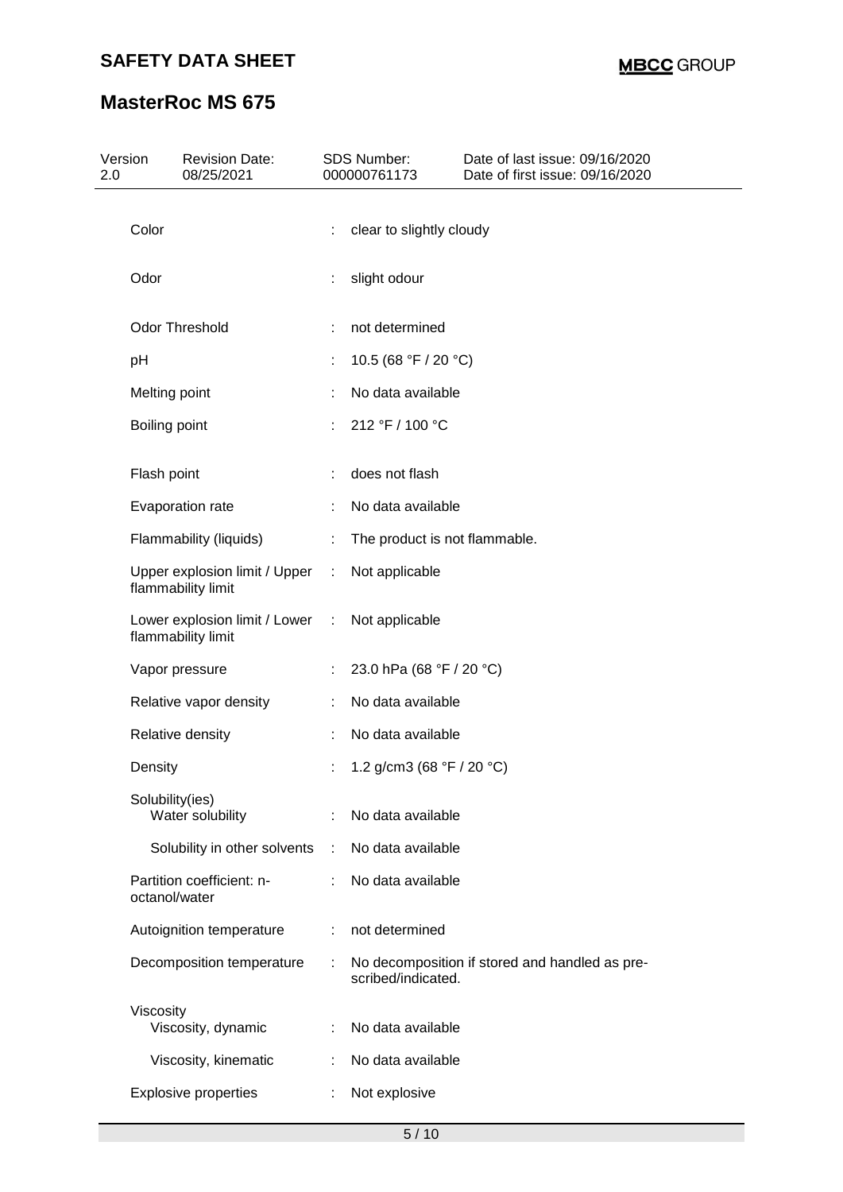| Version<br>2.0 | <b>Revision Date:</b><br>08/25/2021                 |    | SDS Number:<br>000000761173                 | Date of last issue: 09/16/2020<br>Date of first issue: 09/16/2020 |
|----------------|-----------------------------------------------------|----|---------------------------------------------|-------------------------------------------------------------------|
|                | Color                                               |    | clear to slightly cloudy                    |                                                                   |
|                | Odor                                                | ÷  | slight odour                                |                                                                   |
|                | <b>Odor Threshold</b>                               | ÷  | not determined                              |                                                                   |
|                | pH                                                  | t. | 10.5 (68 °F / 20 °C)                        |                                                                   |
|                | Melting point                                       |    | No data available                           |                                                                   |
|                | Boiling point                                       |    | 212 °F / 100 °C                             |                                                                   |
|                | Flash point                                         |    | does not flash                              |                                                                   |
|                | Evaporation rate                                    |    | No data available                           |                                                                   |
|                | Flammability (liquids)                              | ÷. | The product is not flammable.               |                                                                   |
|                | Upper explosion limit / Upper<br>flammability limit | ÷  | Not applicable                              |                                                                   |
|                | Lower explosion limit / Lower<br>flammability limit | ÷  | Not applicable                              |                                                                   |
|                | Vapor pressure                                      | ÷. | 23.0 hPa (68 °F / 20 °C)                    |                                                                   |
|                | Relative vapor density                              |    | No data available                           |                                                                   |
|                | Relative density                                    |    | No data available                           |                                                                   |
|                | Density                                             | t  | 1.2 g/cm3 (68 $\degree$ F / 20 $\degree$ C) |                                                                   |
|                | Solubility(ies)<br>Water solubility                 |    | No data available                           |                                                                   |
|                | Solubility in other solvents                        | ÷  | No data available                           |                                                                   |
|                | Partition coefficient: n-<br>octanol/water          | ÷  | No data available                           |                                                                   |
|                | Autoignition temperature                            | ÷  | not determined                              |                                                                   |
|                | Decomposition temperature                           | ÷  | scribed/indicated.                          | No decomposition if stored and handled as pre-                    |
|                | Viscosity<br>Viscosity, dynamic                     |    | No data available                           |                                                                   |
|                | Viscosity, kinematic                                |    | No data available                           |                                                                   |
|                | <b>Explosive properties</b>                         |    | Not explosive                               |                                                                   |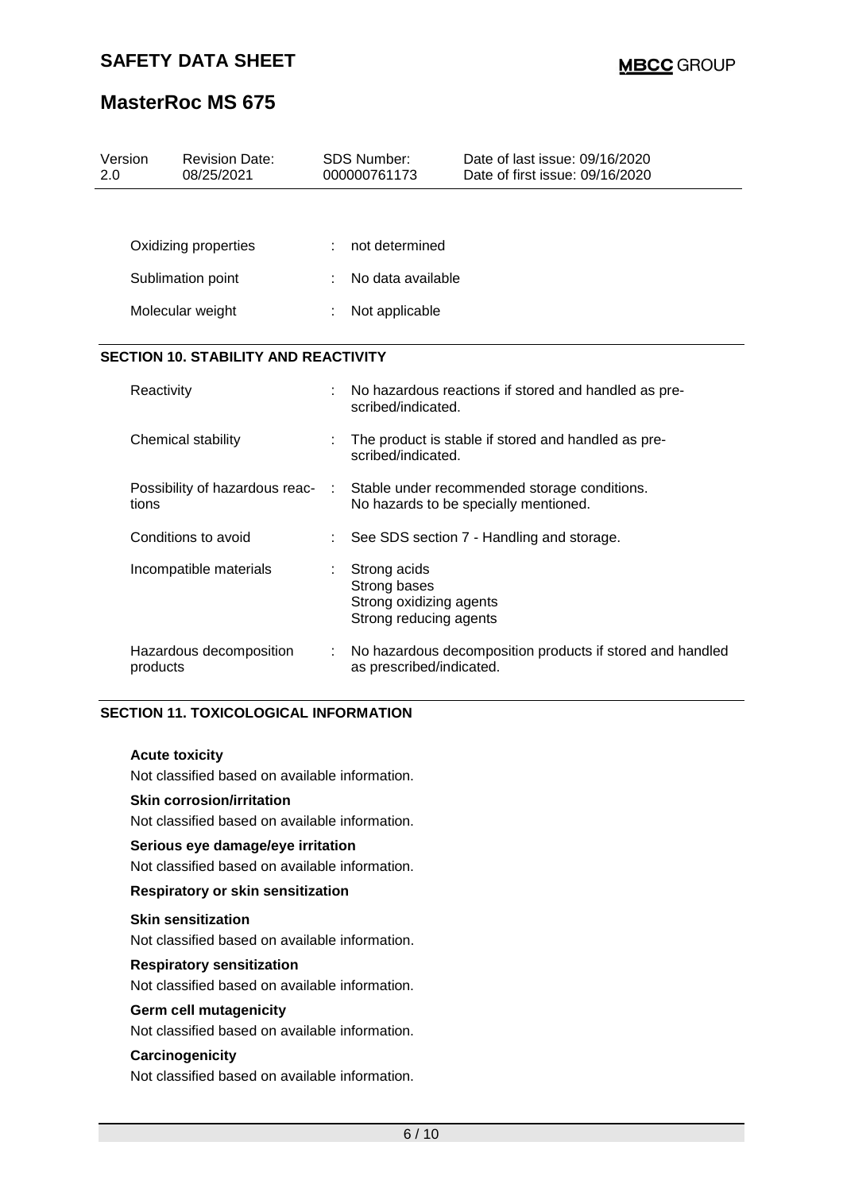## **SAFETY DATA SHEET**

## **MasterRoc MS 675**

| Version<br>2.0 |            | <b>Revision Date:</b><br>08/25/2021         |    | <b>SDS Number:</b><br>000000761173                                                | Date of last issue: 09/16/2020<br>Date of first issue: 09/16/2020                     |
|----------------|------------|---------------------------------------------|----|-----------------------------------------------------------------------------------|---------------------------------------------------------------------------------------|
|                |            |                                             |    |                                                                                   |                                                                                       |
|                |            | Oxidizing properties                        |    | not determined                                                                    |                                                                                       |
|                |            | Sublimation point                           |    | No data available                                                                 |                                                                                       |
|                |            | Molecular weight                            |    | Not applicable                                                                    |                                                                                       |
|                |            | <b>SECTION 10. STABILITY AND REACTIVITY</b> |    |                                                                                   |                                                                                       |
|                | Reactivity |                                             |    | scribed/indicated.                                                                | No hazardous reactions if stored and handled as pre-                                  |
|                |            | Chemical stability                          |    | scribed/indicated.                                                                | The product is stable if stored and handled as pre-                                   |
|                | tions      | Possibility of hazardous reac-              | ÷  |                                                                                   | Stable under recommended storage conditions.<br>No hazards to be specially mentioned. |
|                |            | Conditions to avoid                         |    |                                                                                   | See SDS section 7 - Handling and storage.                                             |
|                |            | Incompatible materials                      | ÷. | Strong acids<br>Strong bases<br>Strong oxidizing agents<br>Strong reducing agents |                                                                                       |
|                | products   | Hazardous decomposition                     |    | as prescribed/indicated.                                                          | No hazardous decomposition products if stored and handled                             |

## **SECTION 11. TOXICOLOGICAL INFORMATION**

#### **Acute toxicity**

Not classified based on available information.

#### **Skin corrosion/irritation**

Not classified based on available information.

#### **Serious eye damage/eye irritation**

Not classified based on available information.

### **Respiratory or skin sensitization**

### **Skin sensitization**

Not classified based on available information.

### **Respiratory sensitization**

Not classified based on available information.

## **Germ cell mutagenicity**

Not classified based on available information.

### **Carcinogenicity**

Not classified based on available information.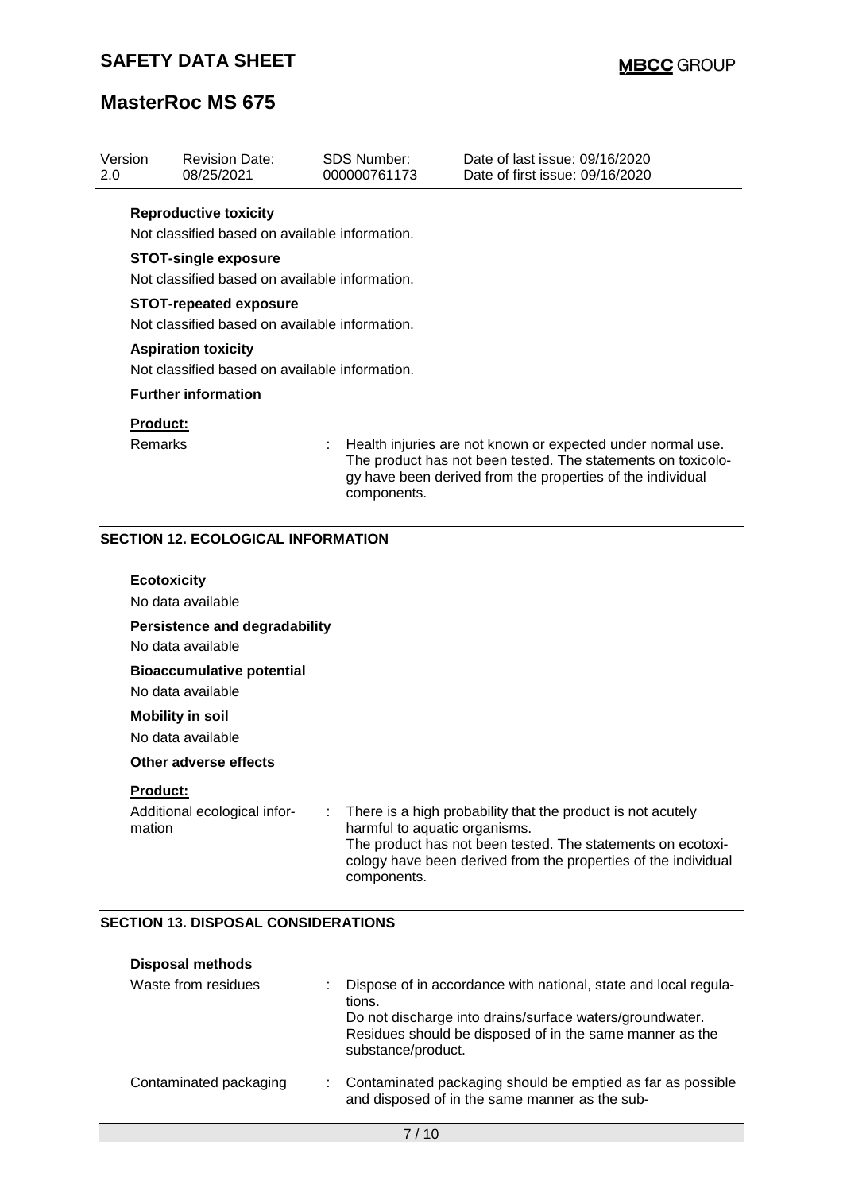| 2.0                        | <b>Revision Date:</b><br>08/25/2021                                             | <b>SDS Number:</b><br>000000761173 | Date of last issue: 09/16/2020<br>Date of first issue: 09/16/2020                                                                                                                         |
|----------------------------|---------------------------------------------------------------------------------|------------------------------------|-------------------------------------------------------------------------------------------------------------------------------------------------------------------------------------------|
|                            | <b>Reproductive toxicity</b><br>Not classified based on available information.  |                                    |                                                                                                                                                                                           |
|                            | <b>STOT-single exposure</b>                                                     |                                    |                                                                                                                                                                                           |
|                            | Not classified based on available information.                                  |                                    |                                                                                                                                                                                           |
|                            | <b>STOT-repeated exposure</b><br>Not classified based on available information. |                                    |                                                                                                                                                                                           |
|                            | <b>Aspiration toxicity</b><br>Not classified based on available information.    |                                    |                                                                                                                                                                                           |
|                            | <b>Further information</b>                                                      |                                    |                                                                                                                                                                                           |
| Product:<br><b>Remarks</b> |                                                                                 |                                    | Health injuries are not known or expected under normal use.<br>The product has not been tested. The statements on toxicolo-<br>gy have been derived from the properties of the individual |
|                            |                                                                                 | components.                        |                                                                                                                                                                                           |
|                            | <b>SECTION 12. ECOLOGICAL INFORMATION</b>                                       |                                    |                                                                                                                                                                                           |
|                            | <b>Ecotoxicity</b>                                                              |                                    |                                                                                                                                                                                           |
|                            | No data available                                                               |                                    |                                                                                                                                                                                           |
|                            | <b>Persistence and degradability</b><br>No data available                       |                                    |                                                                                                                                                                                           |
|                            | <b>Bioaccumulative potential</b><br>No data available                           |                                    |                                                                                                                                                                                           |
|                            | <b>Mobility in soil</b><br>No data available                                    |                                    |                                                                                                                                                                                           |
|                            | Other adverse effects                                                           |                                    |                                                                                                                                                                                           |

| <b>Disposal methods</b> |                                                                                                                                                                                                                         |
|-------------------------|-------------------------------------------------------------------------------------------------------------------------------------------------------------------------------------------------------------------------|
| Waste from residues     | Dispose of in accordance with national, state and local regula-<br>tions.<br>Do not discharge into drains/surface waters/groundwater.<br>Residues should be disposed of in the same manner as the<br>substance/product. |
| Contaminated packaging  | Contaminated packaging should be emptied as far as possible<br>and disposed of in the same manner as the sub-                                                                                                           |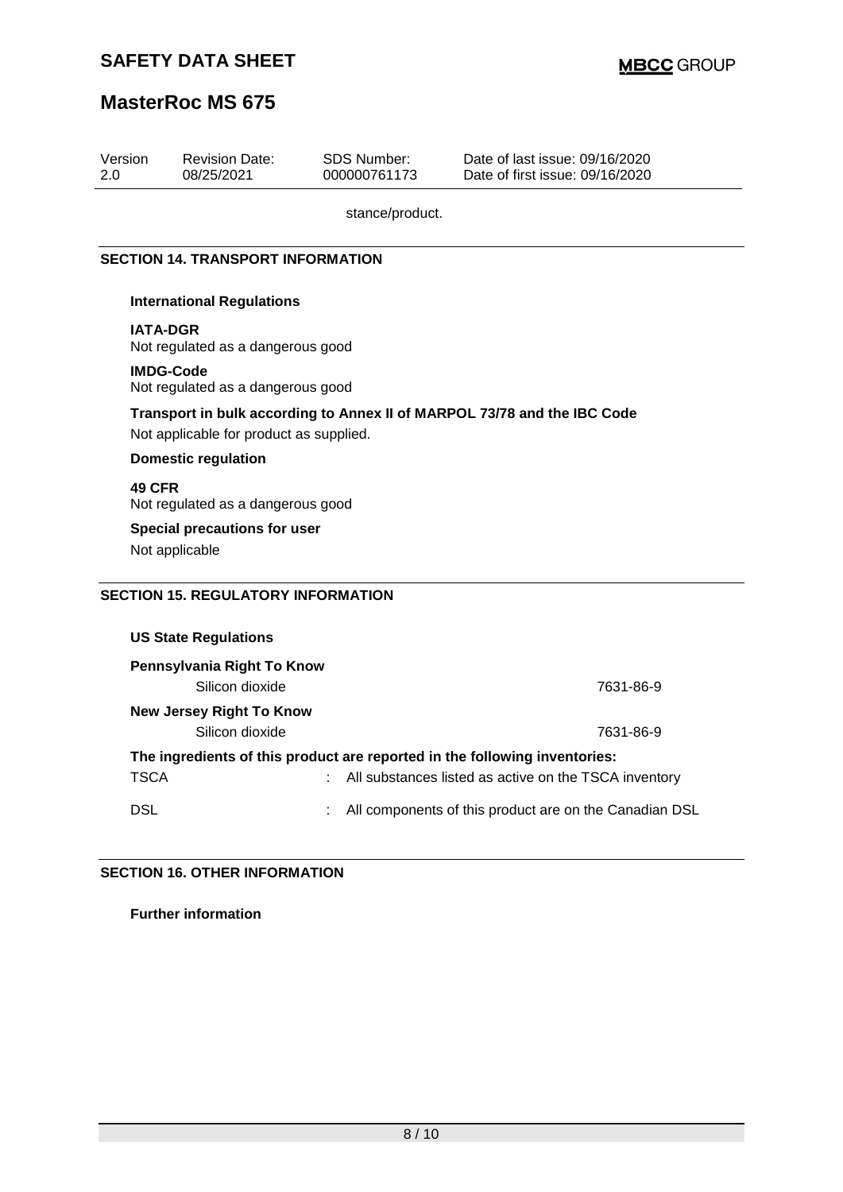# **SAFETY DATA SHEET**

# **MasterRoc MS 675**

| Version<br>2.0                                                                                                      | <b>Revision Date:</b><br>08/25/2021                                                                                                                | <b>SDS Number:</b><br>000000761173 | Date of last issue: 09/16/2020<br>Date of first issue: 09/16/2020 |  |  |  |  |  |  |
|---------------------------------------------------------------------------------------------------------------------|----------------------------------------------------------------------------------------------------------------------------------------------------|------------------------------------|-------------------------------------------------------------------|--|--|--|--|--|--|
|                                                                                                                     | stance/product.                                                                                                                                    |                                    |                                                                   |  |  |  |  |  |  |
| <b>SECTION 14. TRANSPORT INFORMATION</b>                                                                            |                                                                                                                                                    |                                    |                                                                   |  |  |  |  |  |  |
|                                                                                                                     | <b>International Regulations</b>                                                                                                                   |                                    |                                                                   |  |  |  |  |  |  |
| <b>IATA-DGR</b><br>Not regulated as a dangerous good<br><b>IMDG-Code</b><br>Not regulated as a dangerous good       |                                                                                                                                                    |                                    |                                                                   |  |  |  |  |  |  |
| Transport in bulk according to Annex II of MARPOL 73/78 and the IBC Code<br>Not applicable for product as supplied. |                                                                                                                                                    |                                    |                                                                   |  |  |  |  |  |  |
|                                                                                                                     | <b>Domestic regulation</b>                                                                                                                         |                                    |                                                                   |  |  |  |  |  |  |
| <b>49 CFR</b>                                                                                                       | Not regulated as a dangerous good                                                                                                                  |                                    |                                                                   |  |  |  |  |  |  |
|                                                                                                                     | Special precautions for user<br>Not applicable                                                                                                     |                                    |                                                                   |  |  |  |  |  |  |
| <b>SECTION 15. REGULATORY INFORMATION</b>                                                                           |                                                                                                                                                    |                                    |                                                                   |  |  |  |  |  |  |
|                                                                                                                     | <b>US State Regulations</b>                                                                                                                        |                                    |                                                                   |  |  |  |  |  |  |
|                                                                                                                     | Pennsylvania Right To Know<br>Silicon dioxide                                                                                                      |                                    | 7631-86-9                                                         |  |  |  |  |  |  |
|                                                                                                                     | <b>New Jersey Right To Know</b><br>Silicon dioxide                                                                                                 |                                    | 7631-86-9                                                         |  |  |  |  |  |  |
|                                                                                                                     | The ingredients of this product are reported in the following inventories:<br><b>TSCA</b><br>All substances listed as active on the TSCA inventory |                                    |                                                                   |  |  |  |  |  |  |

DSL DSL **EXECUTE:** All components of this product are on the Canadian DSL

### **SECTION 16. OTHER INFORMATION**

**Further information**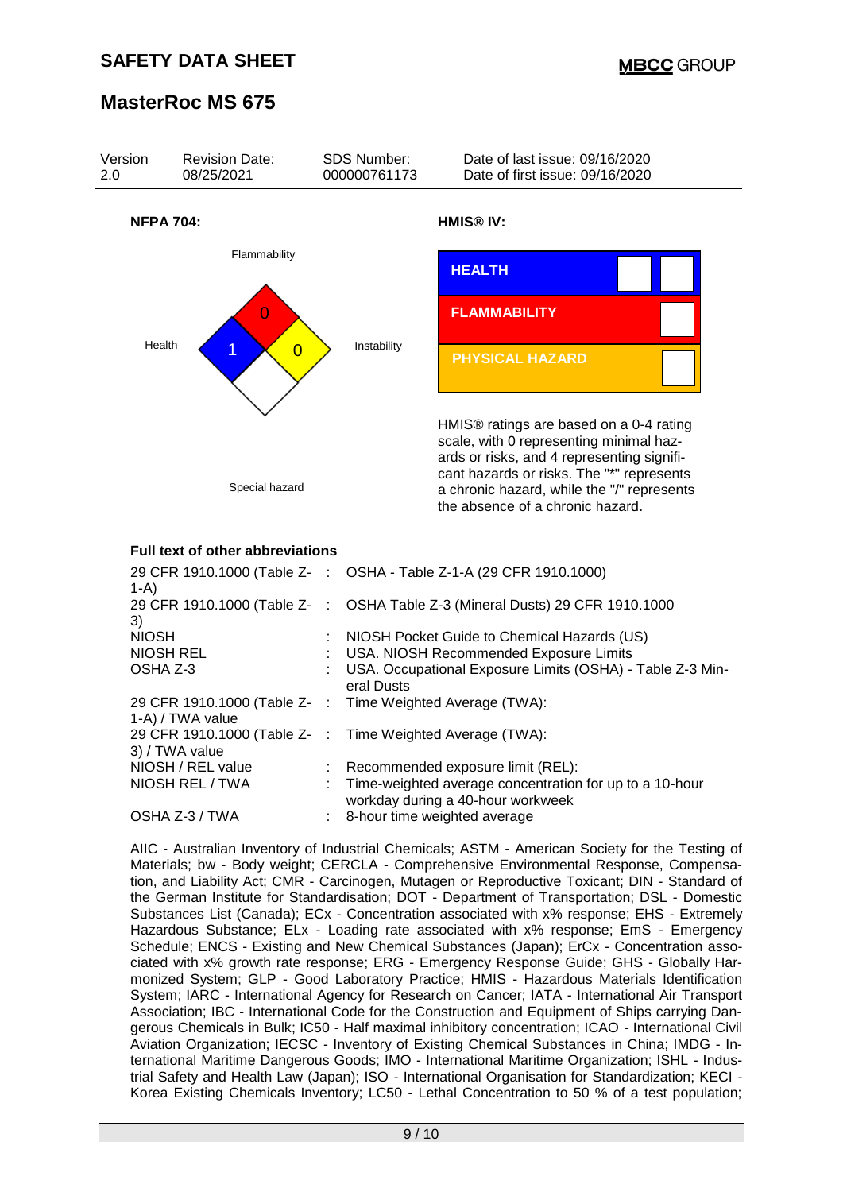

OSHA Z-3 / TWA : 8-hour time weighted average

AIIC - Australian Inventory of Industrial Chemicals; ASTM - American Society for the Testing of Materials; bw - Body weight; CERCLA - Comprehensive Environmental Response, Compensation, and Liability Act; CMR - Carcinogen, Mutagen or Reproductive Toxicant; DIN - Standard of the German Institute for Standardisation; DOT - Department of Transportation; DSL - Domestic Substances List (Canada); ECx - Concentration associated with x% response; EHS - Extremely Hazardous Substance; ELx - Loading rate associated with x% response; EmS - Emergency Schedule; ENCS - Existing and New Chemical Substances (Japan); ErCx - Concentration associated with x% growth rate response; ERG - Emergency Response Guide; GHS - Globally Harmonized System; GLP - Good Laboratory Practice; HMIS - Hazardous Materials Identification System; IARC - International Agency for Research on Cancer; IATA - International Air Transport Association; IBC - International Code for the Construction and Equipment of Ships carrying Dangerous Chemicals in Bulk; IC50 - Half maximal inhibitory concentration; ICAO - International Civil Aviation Organization; IECSC - Inventory of Existing Chemical Substances in China; IMDG - International Maritime Dangerous Goods; IMO - International Maritime Organization; ISHL - Industrial Safety and Health Law (Japan); ISO - International Organisation for Standardization; KECI - Korea Existing Chemicals Inventory; LC50 - Lethal Concentration to 50 % of a test population;